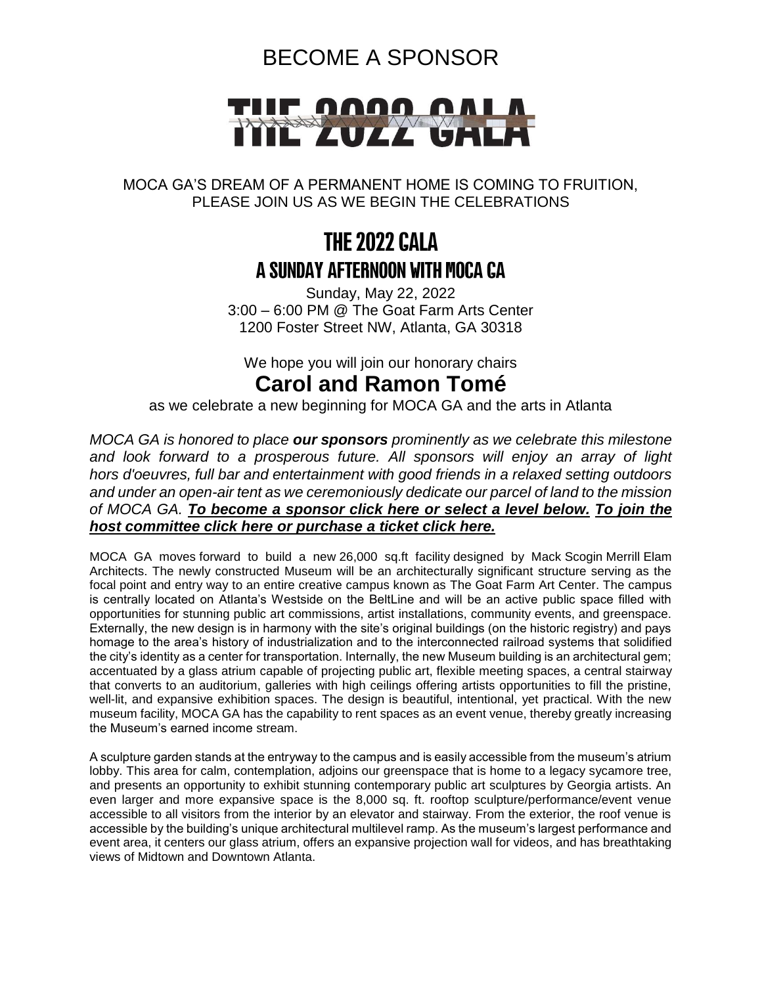### BECOME A SPONSOR



#### MOCA GA'S DREAM OF A PERMANENT HOME IS COMING TO FRUITION, PLEASE JOIN US AS WE BEGIN THE CELEBRATIONS

## **THE 2022 GALA** A SUNDAY AFTERNOON WITH MOCA CA

Sunday, May 22, 2022 3:00 – 6:00 PM @ The Goat Farm Arts Center 1200 Foster Street NW, Atlanta, GA 30318

We hope you will join our honorary chairs

#### **Carol and Ramon Tomé**

as we celebrate a new beginning for MOCA GA and the arts in Atlanta

*MOCA GA is honored to place our sponsors prominently as we celebrate this milestone and look forward to a prosperous future. All sponsors will enjoy an array of light hors d'oeuvres, full bar and entertainment with good friends in a relaxed setting outdoors and under an open-air tent as we ceremoniously dedicate our parcel of land to the mission of MOCA GA. [To become a sponsor click here](https://64863.blackbaudhosting.com/64863/Sponsorship-Host-Committee) or select a level below. [To join the](https://64863.blackbaudhosting.com/64863/Gala-2022)  [host committee](https://64863.blackbaudhosting.com/64863/Gala-2022) click here or purchase a ticket click here.*

MOCA GA moves forward to build a new 26,000 sq.ft facility designed by Mack Scogin Merrill Elam Architects. The newly constructed Museum will be an architecturally significant structure serving as the focal point and entry way to an entire creative campus known as The Goat Farm Art Center. The campus is centrally located on Atlanta's Westside on the BeltLine and will be an active public space filled with opportunities for stunning public art commissions, artist installations, community events, and greenspace. Externally, the new design is in harmony with the site's original buildings (on the historic registry) and pays homage to the area's history of industrialization and to the interconnected railroad systems that solidified the city's identity as a center for transportation. Internally, the new Museum building is an architectural gem; accentuated by a glass atrium capable of projecting public art, flexible meeting spaces, a central stairway that converts to an auditorium, galleries with high ceilings offering artists opportunities to fill the pristine, well-lit, and expansive exhibition spaces. The design is beautiful, intentional, yet practical. With the new museum facility, MOCA GA has the capability to rent spaces as an event venue, thereby greatly increasing the Museum's earned income stream.

A sculpture garden stands at the entryway to the campus and is easily accessible from the museum's atrium lobby. This area for calm, contemplation, adjoins our greenspace that is home to a legacy sycamore tree, and presents an opportunity to exhibit stunning contemporary public art sculptures by Georgia artists. An even larger and more expansive space is the 8,000 sq. ft. rooftop sculpture/performance/event venue accessible to all visitors from the interior by an elevator and stairway. From the exterior, the roof venue is accessible by the building's unique architectural multilevel ramp. As the museum's largest performance and event area, it centers our glass atrium, offers an expansive projection wall for videos, and has breathtaking views of Midtown and Downtown Atlanta.